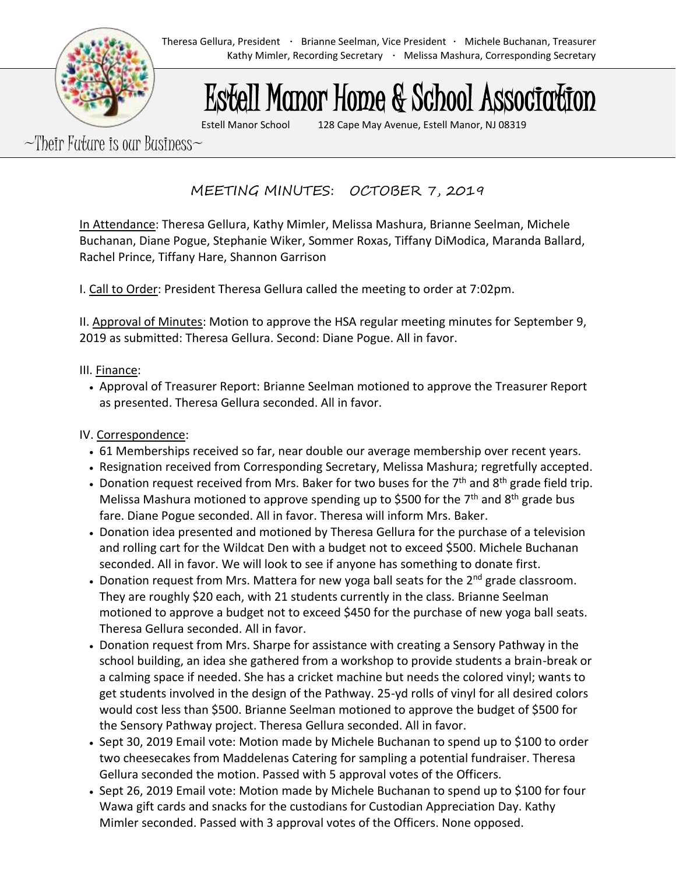# Estell Manor Home & School Association

Estell Manor School 128 Cape May Avenue, Estell Manor, NJ 08319

 $\sim$ Their Future is our Business $\sim$ 

MEETING MINUTES: OCTOBER 7, 2019

In Attendance: Theresa Gellura, Kathy Mimler, Melissa Mashura, Brianne Seelman, Michele Buchanan, Diane Pogue, Stephanie Wiker, Sommer Roxas, Tiffany DiModica, Maranda Ballard, Rachel Prince, Tiffany Hare, Shannon Garrison

I. Call to Order: President Theresa Gellura called the meeting to order at 7:02pm.

II. Approval of Minutes: Motion to approve the HSA regular meeting minutes for September 9, 2019 as submitted: Theresa Gellura. Second: Diane Pogue. All in favor.

### III. Finance:

• Approval of Treasurer Report: Brianne Seelman motioned to approve the Treasurer Report as presented. Theresa Gellura seconded. All in favor.

## IV. Correspondence:

- 61 Memberships received so far, near double our average membership over recent years.
- Resignation received from Corresponding Secretary, Melissa Mashura; regretfully accepted.
- Donation request received from Mrs. Baker for two buses for the  $7<sup>th</sup>$  and  $8<sup>th</sup>$  grade field trip. Melissa Mashura motioned to approve spending up to \$500 for the  $7<sup>th</sup>$  and  $8<sup>th</sup>$  grade bus fare. Diane Pogue seconded. All in favor. Theresa will inform Mrs. Baker.
- Donation idea presented and motioned by Theresa Gellura for the purchase of a television and rolling cart for the Wildcat Den with a budget not to exceed \$500. Michele Buchanan seconded. All in favor. We will look to see if anyone has something to donate first.
- Donation request from Mrs. Mattera for new yoga ball seats for the  $2^{nd}$  grade classroom. They are roughly \$20 each, with 21 students currently in the class. Brianne Seelman motioned to approve a budget not to exceed \$450 for the purchase of new yoga ball seats. Theresa Gellura seconded. All in favor.
- Donation request from Mrs. Sharpe for assistance with creating a Sensory Pathway in the school building, an idea she gathered from a workshop to provide students a brain-break or a calming space if needed. She has a cricket machine but needs the colored vinyl; wants to get students involved in the design of the Pathway. 25-yd rolls of vinyl for all desired colors would cost less than \$500. Brianne Seelman motioned to approve the budget of \$500 for the Sensory Pathway project. Theresa Gellura seconded. All in favor.
- Sept 30, 2019 Email vote: Motion made by Michele Buchanan to spend up to \$100 to order two cheesecakes from Maddelenas Catering for sampling a potential fundraiser. Theresa Gellura seconded the motion. Passed with 5 approval votes of the Officers.
- Sept 26, 2019 Email vote: Motion made by Michele Buchanan to spend up to \$100 for four Wawa gift cards and snacks for the custodians for Custodian Appreciation Day. Kathy Mimler seconded. Passed with 3 approval votes of the Officers. None opposed.